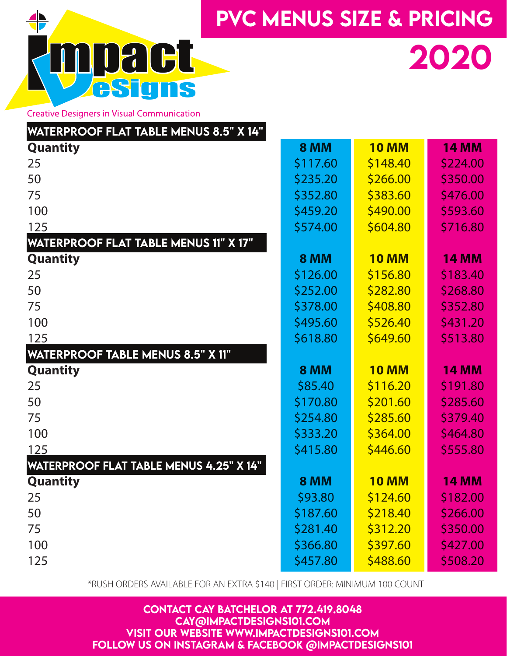



2020

**Creative Designers in Visual Communication** 

| <b>WATERPROOF FLAT TABLE MENUS 8.5" X 14"</b>  |             |              |              |  |
|------------------------------------------------|-------------|--------------|--------------|--|
| <b>Quantity</b>                                | <b>8 MM</b> | <b>10 MM</b> | <b>14 MM</b> |  |
| 25                                             | \$117.60    | \$148.40     | \$224.00     |  |
| 50                                             | \$235.20    | \$266.00     | \$350.00     |  |
| 75                                             | \$352.80    | \$383.60     | \$476.00     |  |
| 100                                            | \$459.20    | \$490.00     | \$593.60     |  |
| 125                                            | \$574.00    | \$604.80     | \$716.80     |  |
| <b>WATERPROOF FLAT TABLE MENUS 11" X 17"</b>   |             |              |              |  |
| <b>Quantity</b>                                | <b>8 MM</b> | <b>10 MM</b> | <b>14 MM</b> |  |
| 25                                             | \$126.00    | \$156.80     | \$183.40     |  |
| 50                                             | \$252.00    | \$282.80     | \$268.80     |  |
| 75                                             | \$378.00    | \$408.80     | \$352.80     |  |
| 100                                            | \$495.60    | \$526.40     | \$431.20     |  |
| 125                                            | \$618.80    | \$649.60     | \$513.80     |  |
| <b>WATERPROOF TABLE MENUS 8.5" X 11"</b>       |             |              |              |  |
| <b>Quantity</b>                                | <b>8 MM</b> | <b>10 MM</b> | <b>14 MM</b> |  |
| 25                                             | \$85.40     | \$116.20     | \$191.80     |  |
| 50                                             | \$170.80    | \$201.60     | \$285.60     |  |
| 75                                             | \$254.80    | \$285.60     | \$379.40     |  |
| 100                                            | \$333.20    | \$364.00     | \$464.80     |  |
| 125                                            | \$415.80    | \$446.60     | \$555.80     |  |
| <b>WATERPROOF FLAT TABLE MENUS 4.25" X 14"</b> |             |              |              |  |
| <b>Quantity</b>                                | <b>8 MM</b> | <b>10 MM</b> | <b>14 MM</b> |  |
| 25                                             | \$93.80     | \$124.60     | \$182.00     |  |
| 50                                             | \$187.60    | \$218.40     | \$266.00     |  |
| 75                                             | \$281.40    | \$312.20     | \$350.00     |  |
| 100                                            | \$366.80    | \$397.60     | \$427.00     |  |
| 125                                            | \$457.80    | \$488.60     | \$508.20     |  |

\*RUSH ORDERS AVAILABLE FOR AN EXTRA \$140 | FIRST ORDER: MINIMUM 100 COUNT

CONTACT CAY BATCHELOR AT 772.419.8048 CAY@IMPACTDESIGNS101.COM VISIT OUR WEBSITE WWW.IMPACTDESIGNS101.COM FOLLOW US ON INSTAGRAM & FACEBOOK @IMPACTDESIGNS101